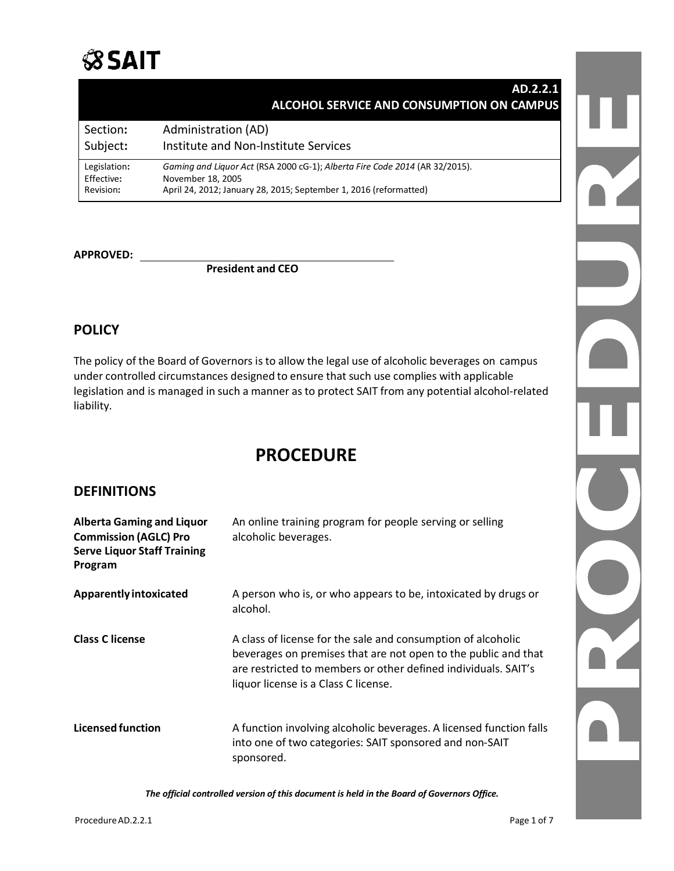

### **AD.2.2.1 ALCOHOL SERVICE AND CONSUMPTION ON CAMPUS**

| Section:     | Administration (AD)                                                         |
|--------------|-----------------------------------------------------------------------------|
| Subject:     | Institute and Non-Institute Services                                        |
| Legislation: | Gaming and Liquor Act (RSA 2000 cG-1); Alberta Fire Code 2014 (AR 32/2015). |
| Effective:   | November 18, 2005                                                           |
| Revision:    | April 24, 2012; January 28, 2015; September 1, 2016 (reformatted)           |

**APPROVED:**

 **President and CEO**

### **POLICY**

The policy of the Board of Governors is to allow the legal use of alcoholic beverages on campus under controlled circumstances designed to ensure that such use complies with applicable legislation and is managed in such a manner as to protect SAIT from any potential alcohol-related liability.

# **PROCEDURE**

### **DEFINITIONS**

| <b>Alberta Gaming and Liquor</b><br><b>Commission (AGLC) Pro</b><br><b>Serve Liquor Staff Training</b><br>Program | An online training program for people serving or selling<br>alcoholic beverages.                                                                                                                                                         |
|-------------------------------------------------------------------------------------------------------------------|------------------------------------------------------------------------------------------------------------------------------------------------------------------------------------------------------------------------------------------|
| <b>Apparently intoxicated</b>                                                                                     | A person who is, or who appears to be, intoxicated by drugs or<br>alcohol.                                                                                                                                                               |
| <b>Class C license</b>                                                                                            | A class of license for the sale and consumption of alcoholic<br>beverages on premises that are not open to the public and that<br>are restricted to members or other defined individuals. SAIT's<br>liquor license is a Class C license. |
| <b>Licensed function</b>                                                                                          | A function involving alcoholic beverages. A licensed function falls<br>into one of two categories: SAIT sponsored and non-SAIT<br>sponsored.                                                                                             |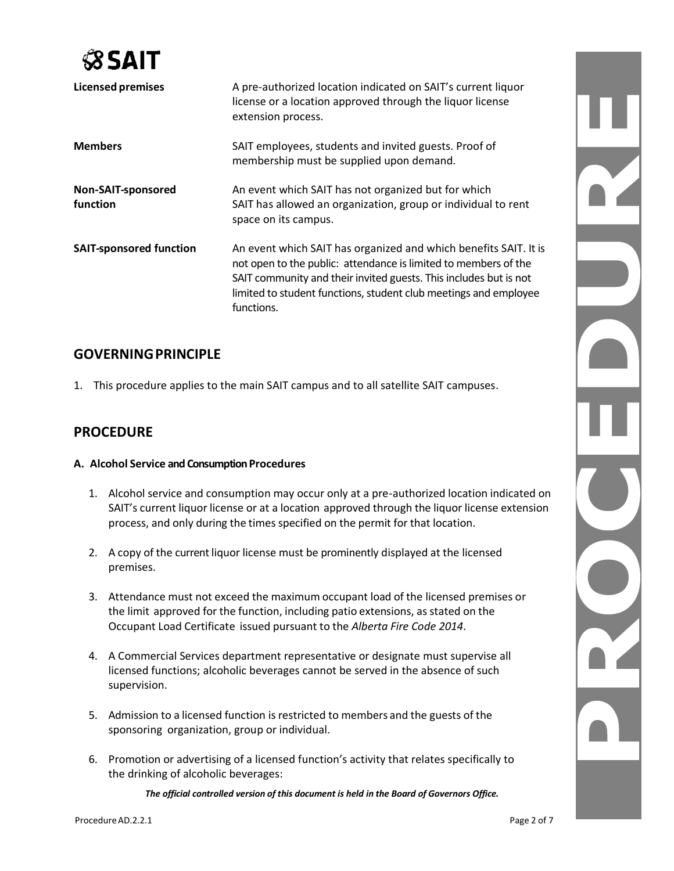

| <b>Licensed premises</b>       | A pre-authorized location indicated on SAIT's current liquor<br>license or a location approved through the liquor license<br>extension process.                                                                                                                                            |
|--------------------------------|--------------------------------------------------------------------------------------------------------------------------------------------------------------------------------------------------------------------------------------------------------------------------------------------|
| <b>Members</b>                 | SAIT employees, students and invited guests. Proof of<br>membership must be supplied upon demand.                                                                                                                                                                                          |
| Non-SAIT-sponsored<br>function | An event which SAIT has not organized but for which<br>SAIT has allowed an organization, group or individual to rent<br>space on its campus.                                                                                                                                               |
| <b>SAIT-sponsored function</b> | An event which SAIT has organized and which benefits SAIT. It is<br>not open to the public: attendance is limited to members of the<br>SAIT community and their invited guests. This includes but is not<br>limited to student functions, student club meetings and employee<br>functions. |

### **GOVERNINGPRINCIPLE**

1. This procedure applies to the main SAIT campus and to all satellite SAIT campuses.

### **PROCEDURE**

#### **A. Alcohol Service and Consumption Procedures**

- 1. Alcohol service and consumption may occur only at a pre-authorized location indicated on SAIT's current liquor license or at a location approved through the liquor license extension process, and only during the times specified on the permit for that location.
- 2. A copy of the current liquor license must be prominently displayed at the licensed premises.
- 3. Attendance must not exceed the maximum occupant load of the licensed premises or the limit approved for the function, including patio extensions, as stated on the Occupant Load Certificate issued pursuant to the *Alberta Fire Code 2014*.
- 4. A Commercial Services department representative or designate must supervise all licensed functions; alcoholic beverages cannot be served in the absence of such supervision.
- 5. Admission to a licensed function is restricted to members and the guests of the sponsoring organization, group or individual.
- 6. Promotion or advertising of a licensed function's activity that relates specifically to the drinking of alcoholic beverages: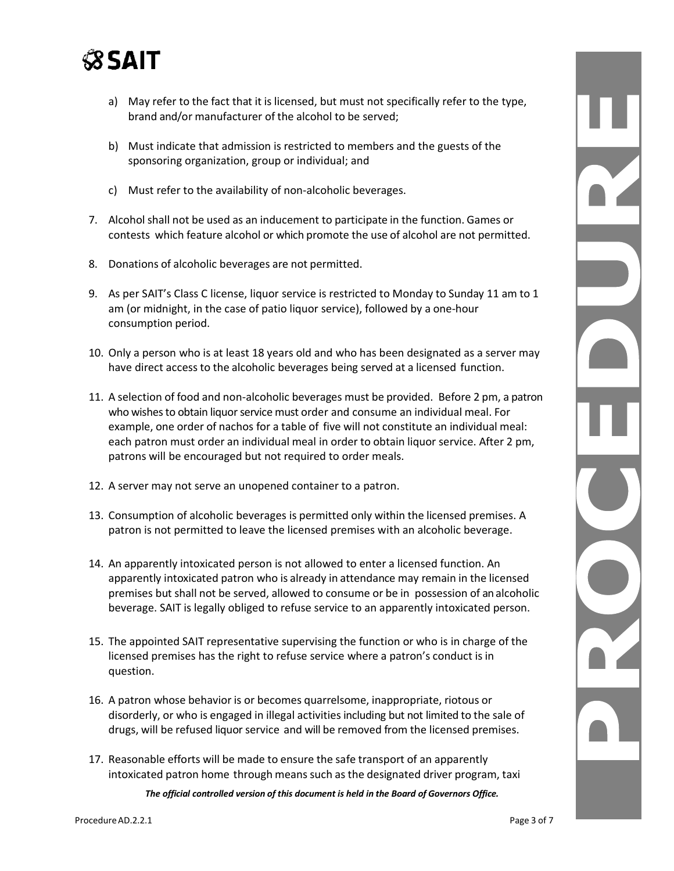

- a) May refer to the fact that it is licensed, but must not specifically refer to the type, brand and/or manufacturer of the alcohol to be served;
- b) Must indicate that admission is restricted to members and the guests of the sponsoring organization, group or individual; and
- c) Must refer to the availability of non-alcoholic beverages.
- 7. Alcohol shall not be used as an inducement to participate in the function. Games or contests which feature alcohol or which promote the use of alcohol are not permitted.
- 8. Donations of alcoholic beverages are not permitted.
- 9. As per SAIT's Class C license, liquor service is restricted to Monday to Sunday 11 am to 1 am (or midnight, in the case of patio liquor service), followed by a one-hour consumption period.
- 10. Only a person who is at least 18 years old and who has been designated as a server may have direct access to the alcoholic beverages being served at a licensed function.
- 11. A selection of food and non-alcoholic beverages must be provided. Before 2 pm, a patron who wishes to obtain liquor service must order and consume an individual meal. For example, one order of nachos for a table of five will not constitute an individual meal: each patron must order an individual meal in order to obtain liquor service. After 2 pm, patrons will be encouraged but not required to order meals.
- 12. A server may not serve an unopened container to a patron.
- 13. Consumption of alcoholic beverages is permitted only within the licensed premises. A patron is not permitted to leave the licensed premises with an alcoholic beverage.
- 14. An apparently intoxicated person is not allowed to enter a licensed function. An apparently intoxicated patron who is already in attendance may remain in the licensed premises but shall not be served, allowed to consume or be in possession of an alcoholic beverage. SAIT is legally obliged to refuse service to an apparently intoxicated person.
- 15. The appointed SAIT representative supervising the function or who is in charge of the licensed premises has the right to refuse service where a patron's conduct is in question.
- 16. A patron whose behavior is or becomes quarrelsome, inappropriate, riotous or disorderly, or who is engaged in illegal activities including but not limited to the sale of drugs, will be refused liquor service and will be removed from the licensed premises.
- 17. Reasonable efforts will be made to ensure the safe transport of an apparently intoxicated patron home through means such as the designated driver program, taxi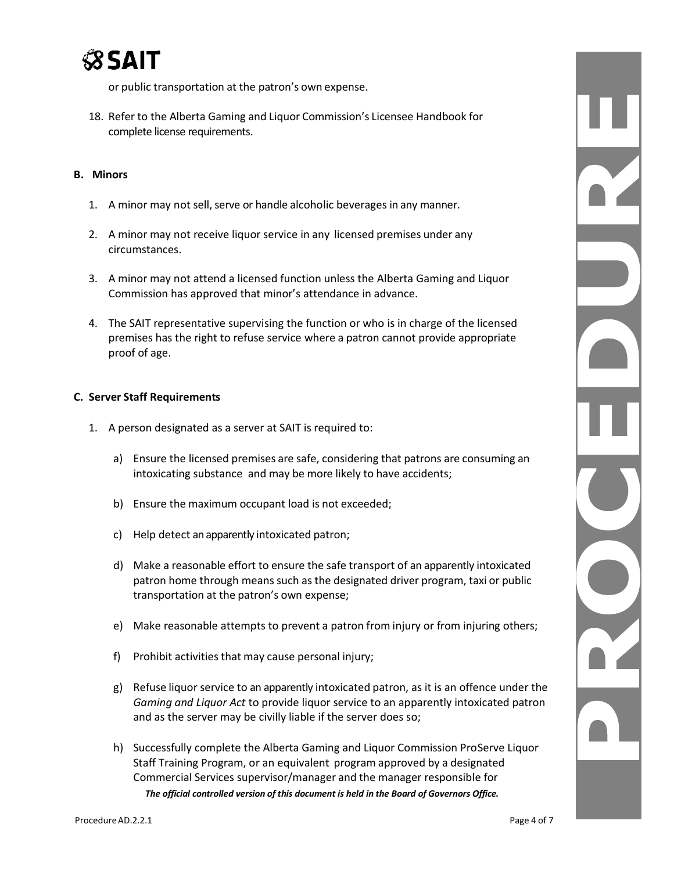

or public transportation at the patron's own expense.

18. Refer to the Alberta Gaming and Liquor Commission's Licensee Handbook for complete license requirements.

#### **B. Minors**

- 1. A minor may not sell, serve or handle alcoholic beverages in any manner.
- 2. A minor may not receive liquor service in any licensed premises under any circumstances.
- 3. A minor may not attend a licensed function unless the Alberta Gaming and Liquor Commission has approved that minor's attendance in advance.
- 4. The SAIT representative supervising the function or who is in charge of the licensed premises has the right to refuse service where a patron cannot provide appropriate proof of age.

#### **C. Server Staff Requirements**

- 1. A person designated as a server at SAIT is required to:
	- a) Ensure the licensed premises are safe, considering that patrons are consuming an intoxicating substance and may be more likely to have accidents;
	- b) Ensure the maximum occupant load is not exceeded;
	- c) Help detect an apparently intoxicated patron;
	- d) Make a reasonable effort to ensure the safe transport of an apparently intoxicated patron home through means such as the designated driver program, taxi or public transportation at the patron's own expense;
	- e) Make reasonable attempts to prevent a patron from injury or from injuring others;
	- f) Prohibit activities that may cause personal injury;
	- g) Refuse liquor service to an apparently intoxicated patron, as it is an offence under the *Gaming and Liquor Act* to provide liquor service to an apparently intoxicated patron and as the server may be civilly liable if the server does so;
	- *The official controlled version of this document is held in the Board of Governors Office.* h) Successfully complete the Alberta Gaming and Liquor Commission ProServe Liquor Staff Training Program, or an equivalent program approved by a designated Commercial Services supervisor/manager and the manager responsible for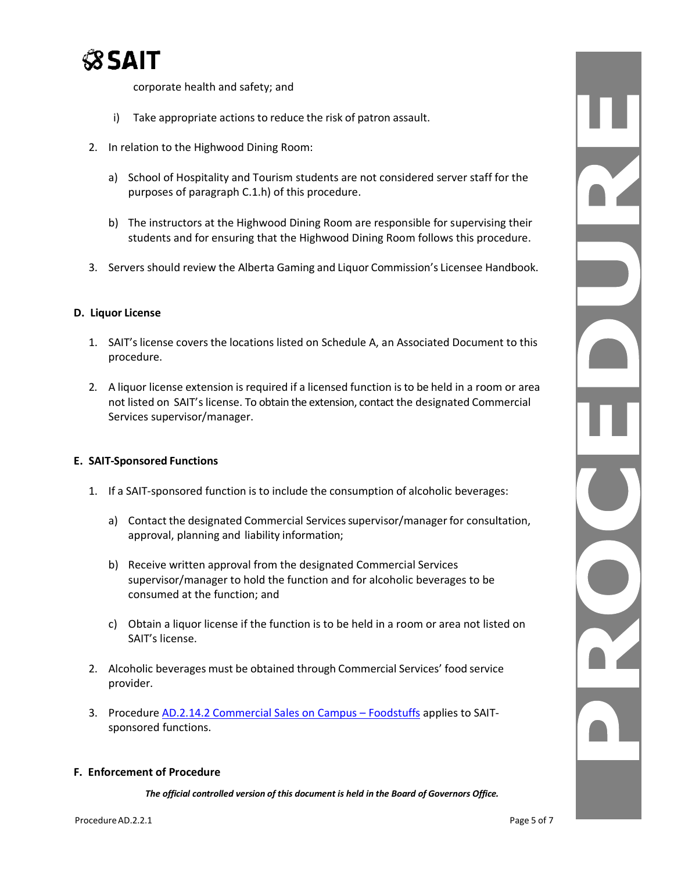

corporate health and safety; and

- i) Take appropriate actions to reduce the risk of patron assault.
- 2. In relation to the Highwood Dining Room:
	- a) School of Hospitality and Tourism students are not considered server staff for the purposes of paragraph C.1.h) of this procedure.
	- b) The instructors at the Highwood Dining Room are responsible for supervising their students and for ensuring that the Highwood Dining Room follows this procedure.
- 3. Servers should review the Alberta Gaming and Liquor Commission's Licensee Handbook.

#### **D. Liquor License**

- 1. SAIT's license covers the locations listed on Schedule A, an Associated Document to this procedure.
- 2. A liquor license extension is required if a licensed function is to be held in a room or area not listed on SAIT's license. To obtain the extension, contact the designated Commercial Services supervisor/manager.

#### **E. SAIT-Sponsored Functions**

- 1. If a SAIT-sponsored function is to include the consumption of alcoholic beverages:
	- a) Contact the designated Commercial Servicessupervisor/manager for consultation, approval, planning and liability information;
	- b) Receive written approval from the designated Commercial Services supervisor/manager to hold the function and for alcoholic beverages to be consumed at the function; and
	- c) Obtain a liquor license if the function is to be held in a room or area not listed on SAIT's license.
- 2. Alcoholic beverages must be obtained through Commercial Services' food service provider.
- 3. Procedure AD.2.14.2 [Commercial Sales on Campus](https://www.sait.ca/assets/documents/about-sait/policies-and-procedures/administration/ad-2-14-2-foodstuffs.pdf)  Foodstuffs applies to SAITsponsored functions.

#### **F. Enforcement of Procedure**